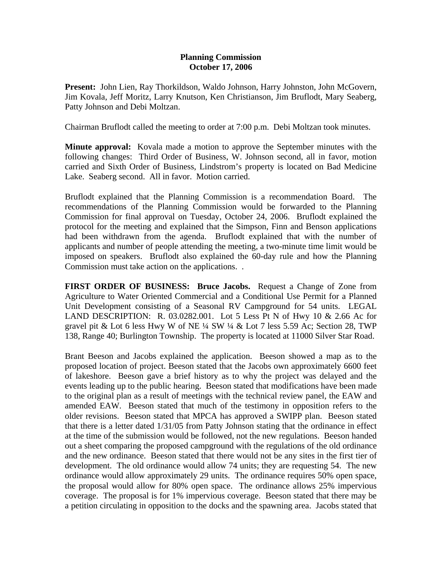## **Planning Commission October 17, 2006**

**Present:** John Lien, Ray Thorkildson, Waldo Johnson, Harry Johnston, John McGovern, Jim Kovala, Jeff Moritz, Larry Knutson, Ken Christianson, Jim Bruflodt, Mary Seaberg, Patty Johnson and Debi Moltzan.

Chairman Bruflodt called the meeting to order at 7:00 p.m. Debi Moltzan took minutes.

**Minute approval:** Kovala made a motion to approve the September minutes with the following changes: Third Order of Business, W. Johnson second, all in favor, motion carried and Sixth Order of Business, Lindstrom's property is located on Bad Medicine Lake. Seaberg second. All in favor. Motion carried.

Bruflodt explained that the Planning Commission is a recommendation Board. The recommendations of the Planning Commission would be forwarded to the Planning Commission for final approval on Tuesday, October 24, 2006. Bruflodt explained the protocol for the meeting and explained that the Simpson, Finn and Benson applications had been withdrawn from the agenda. Bruflodt explained that with the number of applicants and number of people attending the meeting, a two-minute time limit would be imposed on speakers. Bruflodt also explained the 60-day rule and how the Planning Commission must take action on the applications. .

**FIRST ORDER OF BUSINESS: Bruce Jacobs.** Request a Change of Zone from Agriculture to Water Oriented Commercial and a Conditional Use Permit for a Planned Unit Development consisting of a Seasonal RV Campground for 54 units. LEGAL LAND DESCRIPTION: R. 03.0282.001. Lot 5 Less Pt N of Hwy 10 & 2.66 Ac for gravel pit & Lot 6 less Hwy W of NE  $\frac{1}{4}$  SW  $\frac{1}{4}$  & Lot 7 less 5.59 Ac; Section 28, TWP 138, Range 40; Burlington Township. The property is located at 11000 Silver Star Road.

Brant Beeson and Jacobs explained the application. Beeson showed a map as to the proposed location of project. Beeson stated that the Jacobs own approximately 6600 feet of lakeshore. Beeson gave a brief history as to why the project was delayed and the events leading up to the public hearing. Beeson stated that modifications have been made to the original plan as a result of meetings with the technical review panel, the EAW and amended EAW. Beeson stated that much of the testimony in opposition refers to the older revisions. Beeson stated that MPCA has approved a SWIPP plan. Beeson stated that there is a letter dated 1/31/05 from Patty Johnson stating that the ordinance in effect at the time of the submission would be followed, not the new regulations. Beeson handed out a sheet comparing the proposed campground with the regulations of the old ordinance and the new ordinance. Beeson stated that there would not be any sites in the first tier of development. The old ordinance would allow 74 units; they are requesting 54. The new ordinance would allow approximately 29 units. The ordinance requires 50% open space, the proposal would allow for 80% open space. The ordinance allows 25% impervious coverage. The proposal is for 1% impervious coverage. Beeson stated that there may be a petition circulating in opposition to the docks and the spawning area. Jacobs stated that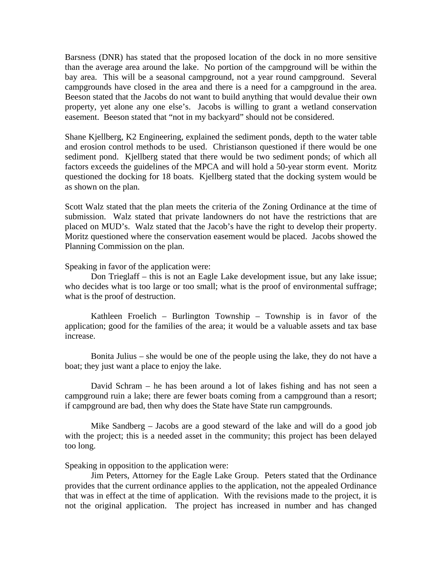Barsness (DNR) has stated that the proposed location of the dock in no more sensitive than the average area around the lake. No portion of the campground will be within the bay area. This will be a seasonal campground, not a year round campground. Several campgrounds have closed in the area and there is a need for a campground in the area. Beeson stated that the Jacobs do not want to build anything that would devalue their own property, yet alone any one else's. Jacobs is willing to grant a wetland conservation easement. Beeson stated that "not in my backyard" should not be considered.

Shane Kjellberg, K2 Engineering, explained the sediment ponds, depth to the water table and erosion control methods to be used. Christianson questioned if there would be one sediment pond. Kjellberg stated that there would be two sediment ponds; of which all factors exceeds the guidelines of the MPCA and will hold a 50-year storm event. Moritz questioned the docking for 18 boats. Kjellberg stated that the docking system would be as shown on the plan.

Scott Walz stated that the plan meets the criteria of the Zoning Ordinance at the time of submission. Walz stated that private landowners do not have the restrictions that are placed on MUD's. Walz stated that the Jacob's have the right to develop their property. Moritz questioned where the conservation easement would be placed. Jacobs showed the Planning Commission on the plan.

## Speaking in favor of the application were:

Don Trieglaff – this is not an Eagle Lake development issue, but any lake issue; who decides what is too large or too small; what is the proof of environmental suffrage; what is the proof of destruction.

Kathleen Froelich – Burlington Township – Township is in favor of the application; good for the families of the area; it would be a valuable assets and tax base increase.

Bonita Julius – she would be one of the people using the lake, they do not have a boat; they just want a place to enjoy the lake.

David Schram – he has been around a lot of lakes fishing and has not seen a campground ruin a lake; there are fewer boats coming from a campground than a resort; if campground are bad, then why does the State have State run campgrounds.

Mike Sandberg – Jacobs are a good steward of the lake and will do a good job with the project; this is a needed asset in the community; this project has been delayed too long.

Speaking in opposition to the application were:

Jim Peters, Attorney for the Eagle Lake Group. Peters stated that the Ordinance provides that the current ordinance applies to the application, not the appealed Ordinance that was in effect at the time of application. With the revisions made to the project, it is not the original application. The project has increased in number and has changed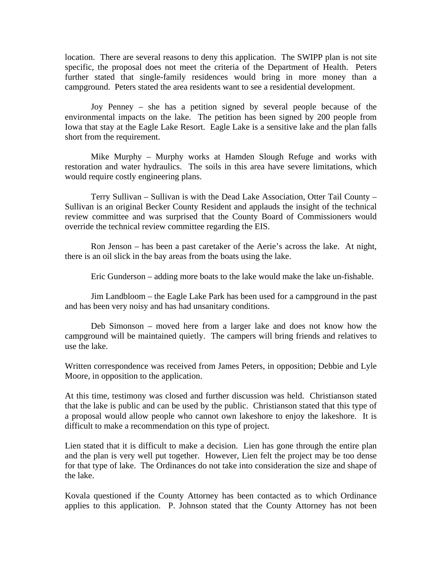location. There are several reasons to deny this application. The SWIPP plan is not site specific, the proposal does not meet the criteria of the Department of Health. Peters further stated that single-family residences would bring in more money than a campground. Peters stated the area residents want to see a residential development.

Joy Penney – she has a petition signed by several people because of the environmental impacts on the lake. The petition has been signed by 200 people from Iowa that stay at the Eagle Lake Resort. Eagle Lake is a sensitive lake and the plan falls short from the requirement.

Mike Murphy – Murphy works at Hamden Slough Refuge and works with restoration and water hydraulics. The soils in this area have severe limitations, which would require costly engineering plans.

Terry Sullivan – Sullivan is with the Dead Lake Association, Otter Tail County – Sullivan is an original Becker County Resident and applauds the insight of the technical review committee and was surprised that the County Board of Commissioners would override the technical review committee regarding the EIS.

Ron Jenson – has been a past caretaker of the Aerie's across the lake. At night, there is an oil slick in the bay areas from the boats using the lake.

Eric Gunderson – adding more boats to the lake would make the lake un-fishable.

Jim Landbloom – the Eagle Lake Park has been used for a campground in the past and has been very noisy and has had unsanitary conditions.

Deb Simonson – moved here from a larger lake and does not know how the campground will be maintained quietly. The campers will bring friends and relatives to use the lake.

Written correspondence was received from James Peters, in opposition; Debbie and Lyle Moore, in opposition to the application.

At this time, testimony was closed and further discussion was held. Christianson stated that the lake is public and can be used by the public. Christianson stated that this type of a proposal would allow people who cannot own lakeshore to enjoy the lakeshore. It is difficult to make a recommendation on this type of project.

Lien stated that it is difficult to make a decision. Lien has gone through the entire plan and the plan is very well put together. However, Lien felt the project may be too dense for that type of lake. The Ordinances do not take into consideration the size and shape of the lake.

Kovala questioned if the County Attorney has been contacted as to which Ordinance applies to this application. P. Johnson stated that the County Attorney has not been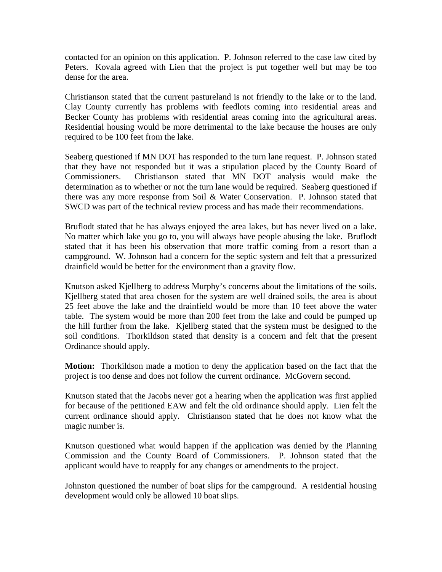contacted for an opinion on this application. P. Johnson referred to the case law cited by Peters. Kovala agreed with Lien that the project is put together well but may be too dense for the area.

Christianson stated that the current pastureland is not friendly to the lake or to the land. Clay County currently has problems with feedlots coming into residential areas and Becker County has problems with residential areas coming into the agricultural areas. Residential housing would be more detrimental to the lake because the houses are only required to be 100 feet from the lake.

Seaberg questioned if MN DOT has responded to the turn lane request. P. Johnson stated that they have not responded but it was a stipulation placed by the County Board of Commissioners. Christianson stated that MN DOT analysis would make the determination as to whether or not the turn lane would be required. Seaberg questioned if there was any more response from Soil & Water Conservation. P. Johnson stated that SWCD was part of the technical review process and has made their recommendations.

Bruflodt stated that he has always enjoyed the area lakes, but has never lived on a lake. No matter which lake you go to, you will always have people abusing the lake. Bruflodt stated that it has been his observation that more traffic coming from a resort than a campground. W. Johnson had a concern for the septic system and felt that a pressurized drainfield would be better for the environment than a gravity flow.

Knutson asked Kjellberg to address Murphy's concerns about the limitations of the soils. Kjellberg stated that area chosen for the system are well drained soils, the area is about 25 feet above the lake and the drainfield would be more than 10 feet above the water table. The system would be more than 200 feet from the lake and could be pumped up the hill further from the lake. Kjellberg stated that the system must be designed to the soil conditions. Thorkildson stated that density is a concern and felt that the present Ordinance should apply.

**Motion:** Thorkildson made a motion to deny the application based on the fact that the project is too dense and does not follow the current ordinance. McGovern second.

Knutson stated that the Jacobs never got a hearing when the application was first applied for because of the petitioned EAW and felt the old ordinance should apply. Lien felt the current ordinance should apply. Christianson stated that he does not know what the magic number is.

Knutson questioned what would happen if the application was denied by the Planning Commission and the County Board of Commissioners. P. Johnson stated that the applicant would have to reapply for any changes or amendments to the project.

Johnston questioned the number of boat slips for the campground. A residential housing development would only be allowed 10 boat slips.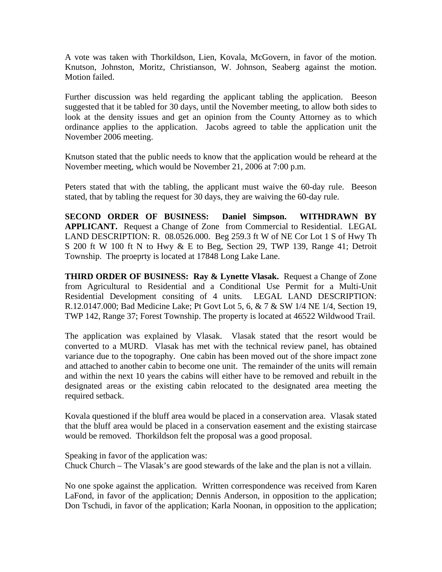A vote was taken with Thorkildson, Lien, Kovala, McGovern, in favor of the motion. Knutson, Johnston, Moritz, Christianson, W. Johnson, Seaberg against the motion. Motion failed.

Further discussion was held regarding the applicant tabling the application. Beeson suggested that it be tabled for 30 days, until the November meeting, to allow both sides to look at the density issues and get an opinion from the County Attorney as to which ordinance applies to the application. Jacobs agreed to table the application unit the November 2006 meeting.

Knutson stated that the public needs to know that the application would be reheard at the November meeting, which would be November 21, 2006 at 7:00 p.m.

Peters stated that with the tabling, the applicant must waive the 60-day rule. Beeson stated, that by tabling the request for 30 days, they are waiving the 60-day rule.

**SECOND ORDER OF BUSINESS: Daniel Simpson. WITHDRAWN BY APPLICANT.** Request a Change of Zone from Commercial to Residential. LEGAL LAND DESCRIPTION: R. 08.0526.000. Beg 259.3 ft W of NE Cor Lot 1 S of Hwy Th S 200 ft W 100 ft N to Hwy & E to Beg, Section 29, TWP 139, Range 41; Detroit Township. The proeprty is located at 17848 Long Lake Lane.

**THIRD ORDER OF BUSINESS: Ray & Lynette Vlasak.** Request a Change of Zone from Agricultural to Residential and a Conditional Use Permit for a Multi-Unit Residential Development consiting of 4 units. LEGAL LAND DESCRIPTION: R.12.0147.000; Bad Medicine Lake; Pt Govt Lot 5, 6, & 7 & SW 1/4 NE 1/4, Section 19, TWP 142, Range 37; Forest Township. The property is located at 46522 Wildwood Trail.

The application was explained by Vlasak. Vlasak stated that the resort would be converted to a MURD. Vlasak has met with the technical review panel, has obtained variance due to the topography. One cabin has been moved out of the shore impact zone and attached to another cabin to become one unit. The remainder of the units will remain and within the next 10 years the cabins will either have to be removed and rebuilt in the designated areas or the existing cabin relocated to the designated area meeting the required setback.

Kovala questioned if the bluff area would be placed in a conservation area. Vlasak stated that the bluff area would be placed in a conservation easement and the existing staircase would be removed. Thorkildson felt the proposal was a good proposal.

Speaking in favor of the application was: Chuck Church – The Vlasak's are good stewards of the lake and the plan is not a villain.

No one spoke against the application. Written correspondence was received from Karen LaFond, in favor of the application; Dennis Anderson, in opposition to the application; Don Tschudi, in favor of the application; Karla Noonan, in opposition to the application;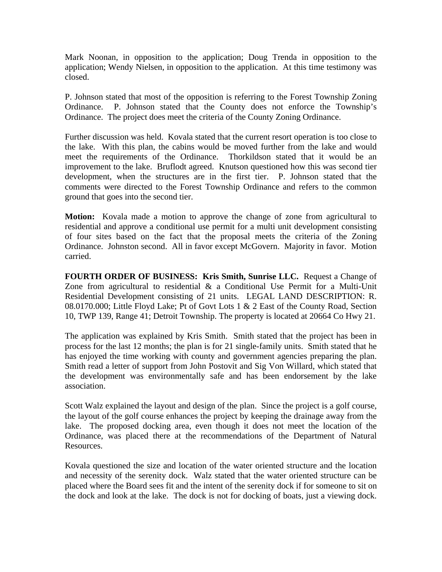Mark Noonan, in opposition to the application; Doug Trenda in opposition to the application; Wendy Nielsen, in opposition to the application. At this time testimony was closed.

P. Johnson stated that most of the opposition is referring to the Forest Township Zoning Ordinance. P. Johnson stated that the County does not enforce the Township's Ordinance. The project does meet the criteria of the County Zoning Ordinance.

Further discussion was held. Kovala stated that the current resort operation is too close to the lake. With this plan, the cabins would be moved further from the lake and would meet the requirements of the Ordinance. Thorkildson stated that it would be an improvement to the lake. Bruflodt agreed. Knutson questioned how this was second tier development, when the structures are in the first tier. P. Johnson stated that the comments were directed to the Forest Township Ordinance and refers to the common ground that goes into the second tier.

**Motion:** Kovala made a motion to approve the change of zone from agricultural to residential and approve a conditional use permit for a multi unit development consisting of four sites based on the fact that the proposal meets the criteria of the Zoning Ordinance. Johnston second. All in favor except McGovern. Majority in favor. Motion carried.

**FOURTH ORDER OF BUSINESS: Kris Smith, Sunrise LLC.** Request a Change of Zone from agricultural to residential & a Conditional Use Permit for a Multi-Unit Residential Development consisting of 21 units. LEGAL LAND DESCRIPTION: R. 08.0170.000; Little Floyd Lake; Pt of Govt Lots 1 & 2 East of the County Road, Section 10, TWP 139, Range 41; Detroit Township. The property is located at 20664 Co Hwy 21.

The application was explained by Kris Smith. Smith stated that the project has been in process for the last 12 months; the plan is for 21 single-family units. Smith stated that he has enjoyed the time working with county and government agencies preparing the plan. Smith read a letter of support from John Postovit and Sig Von Willard, which stated that the development was environmentally safe and has been endorsement by the lake association.

Scott Walz explained the layout and design of the plan. Since the project is a golf course, the layout of the golf course enhances the project by keeping the drainage away from the lake. The proposed docking area, even though it does not meet the location of the Ordinance, was placed there at the recommendations of the Department of Natural Resources.

Kovala questioned the size and location of the water oriented structure and the location and necessity of the serenity dock. Walz stated that the water oriented structure can be placed where the Board sees fit and the intent of the serenity dock if for someone to sit on the dock and look at the lake. The dock is not for docking of boats, just a viewing dock.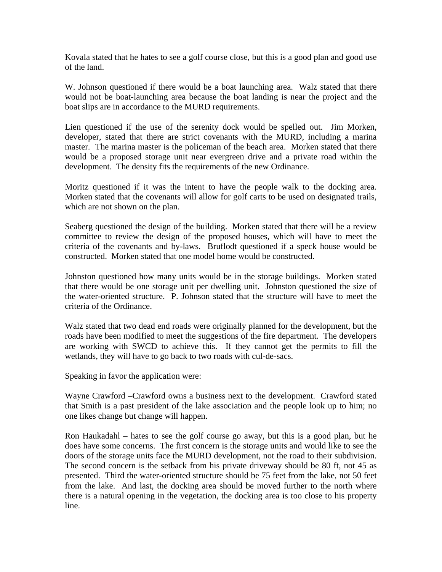Kovala stated that he hates to see a golf course close, but this is a good plan and good use of the land.

W. Johnson questioned if there would be a boat launching area. Walz stated that there would not be boat-launching area because the boat landing is near the project and the boat slips are in accordance to the MURD requirements.

Lien questioned if the use of the serenity dock would be spelled out. Jim Morken, developer, stated that there are strict covenants with the MURD, including a marina master. The marina master is the policeman of the beach area. Morken stated that there would be a proposed storage unit near evergreen drive and a private road within the development. The density fits the requirements of the new Ordinance.

Moritz questioned if it was the intent to have the people walk to the docking area. Morken stated that the covenants will allow for golf carts to be used on designated trails, which are not shown on the plan.

Seaberg questioned the design of the building. Morken stated that there will be a review committee to review the design of the proposed houses, which will have to meet the criteria of the covenants and by-laws. Bruflodt questioned if a speck house would be constructed. Morken stated that one model home would be constructed.

Johnston questioned how many units would be in the storage buildings. Morken stated that there would be one storage unit per dwelling unit. Johnston questioned the size of the water-oriented structure. P. Johnson stated that the structure will have to meet the criteria of the Ordinance.

Walz stated that two dead end roads were originally planned for the development, but the roads have been modified to meet the suggestions of the fire department. The developers are working with SWCD to achieve this. If they cannot get the permits to fill the wetlands, they will have to go back to two roads with cul-de-sacs.

Speaking in favor the application were:

Wayne Crawford –Crawford owns a business next to the development. Crawford stated that Smith is a past president of the lake association and the people look up to him; no one likes change but change will happen.

Ron Haukadahl – hates to see the golf course go away, but this is a good plan, but he does have some concerns. The first concern is the storage units and would like to see the doors of the storage units face the MURD development, not the road to their subdivision. The second concern is the setback from his private driveway should be 80 ft, not 45 as presented. Third the water-oriented structure should be 75 feet from the lake, not 50 feet from the lake. And last, the docking area should be moved further to the north where there is a natural opening in the vegetation, the docking area is too close to his property line.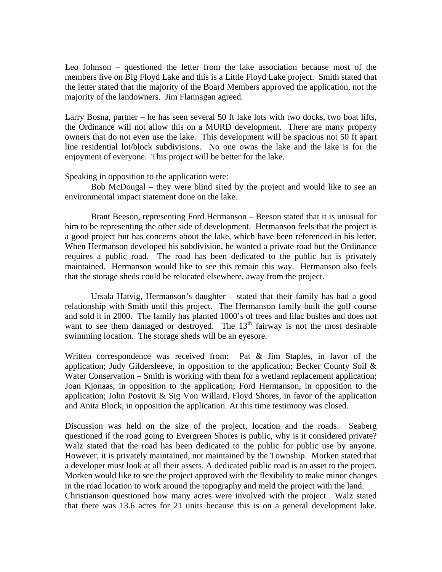Leo Johnson – questioned the letter from the lake association because most of the members live on Big Floyd Lake and this is a Little Floyd Lake project. Smith stated that the letter stated that the majority of the Board Members approved the application, not the majority of the landowners. Jim Flannagan agreed.

Larry Bosna, partner – he has seen several 50 ft lake lots with two docks, two boat lifts, the Ordinance will not allow this on a MURD development. There are many property owners that do not even use the lake. This development will be spacious not 50 ft apart line residential lot/block subdivisions. No one owns the lake and the lake is for the enjoyment of everyone. This project will be better for the lake.

Speaking in opposition to the application were:

Bob McDougal – they were blind sited by the project and would like to see an environmental impact statement done on the lake.

Brant Beeson, representing Ford Hermanson – Beeson stated that it is unusual for him to be representing the other side of development. Hermanson feels that the project is a good project but has concerns about the lake, which have been referenced in his letter. When Hermanson developed his subdivision, he wanted a private road but the Ordinance requires a public road. The road has been dedicated to the public but is privately maintained. Hermanson would like to see this remain this way. Hermanson also feels that the storage sheds could be relocated elsewhere, away from the project.

Ursala Hatvig, Hermanson's daughter – stated that their family has had a good relationship with Smith until this project. The Hermanson family built the golf course and sold it in 2000. The family has planted 1000's of trees and lilac bushes and does not want to see them damaged or destroyed. The  $13<sup>th</sup>$  fairway is not the most desirable swimming location. The storage sheds will be an eyesore.

Written correspondence was received from: Pat  $\&$  Jim Staples, in favor of the application; Judy Gildersleeve, in opposition to the application; Becker County Soil  $\&$ Water Conservation – Smith is working with them for a wetland replacement application; Joan Kjonaas, in opposition to the application; Ford Hermanson, in opposition to the application; John Postovit & Sig Von Willard, Floyd Shores, in favor of the application and Anita Block, in opposition the application. At this time testimony was closed.

Discussion was held on the size of the project, location and the roads. Seaberg questioned if the road going to Evergreen Shores is public, why is it considered private? Walz stated that the road has been dedicated to the public for public use by anyone. However, it is privately maintained, not maintained by the Township. Morken stated that a developer must look at all their assets. A dedicated public road is an asset to the project. Morken would like to see the project approved with the flexibility to make minor changes in the road location to work around the topography and meld the project with the land. Christianson questioned how many acres were involved with the project. Walz stated that there was 13.6 acres for 21 units because this is on a general development lake.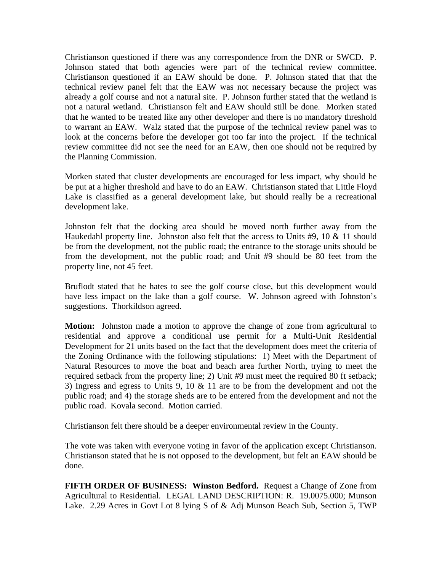Christianson questioned if there was any correspondence from the DNR or SWCD. P. Johnson stated that both agencies were part of the technical review committee. Christianson questioned if an EAW should be done. P. Johnson stated that that the technical review panel felt that the EAW was not necessary because the project was already a golf course and not a natural site. P. Johnson further stated that the wetland is not a natural wetland. Christianson felt and EAW should still be done. Morken stated that he wanted to be treated like any other developer and there is no mandatory threshold to warrant an EAW. Walz stated that the purpose of the technical review panel was to look at the concerns before the developer got too far into the project. If the technical review committee did not see the need for an EAW, then one should not be required by the Planning Commission.

Morken stated that cluster developments are encouraged for less impact, why should he be put at a higher threshold and have to do an EAW. Christianson stated that Little Floyd Lake is classified as a general development lake, but should really be a recreational development lake.

Johnston felt that the docking area should be moved north further away from the Haukedahl property line. Johnston also felt that the access to Units  $#9$ , 10  $\&$  11 should be from the development, not the public road; the entrance to the storage units should be from the development, not the public road; and Unit #9 should be 80 feet from the property line, not 45 feet.

Bruflodt stated that he hates to see the golf course close, but this development would have less impact on the lake than a golf course. W. Johnson agreed with Johnston's suggestions. Thorkildson agreed.

**Motion:** Johnston made a motion to approve the change of zone from agricultural to residential and approve a conditional use permit for a Multi-Unit Residential Development for 21 units based on the fact that the development does meet the criteria of the Zoning Ordinance with the following stipulations: 1) Meet with the Department of Natural Resources to move the boat and beach area further North, trying to meet the required setback from the property line; 2) Unit #9 must meet the required 80 ft setback; 3) Ingress and egress to Units 9, 10 & 11 are to be from the development and not the public road; and 4) the storage sheds are to be entered from the development and not the public road. Kovala second. Motion carried.

Christianson felt there should be a deeper environmental review in the County.

The vote was taken with everyone voting in favor of the application except Christianson. Christianson stated that he is not opposed to the development, but felt an EAW should be done.

**FIFTH ORDER OF BUSINESS: Winston Bedford.** Request a Change of Zone from Agricultural to Residential. LEGAL LAND DESCRIPTION: R. 19.0075.000; Munson Lake. 2.29 Acres in Govt Lot 8 lying S of & Adj Munson Beach Sub, Section 5, TWP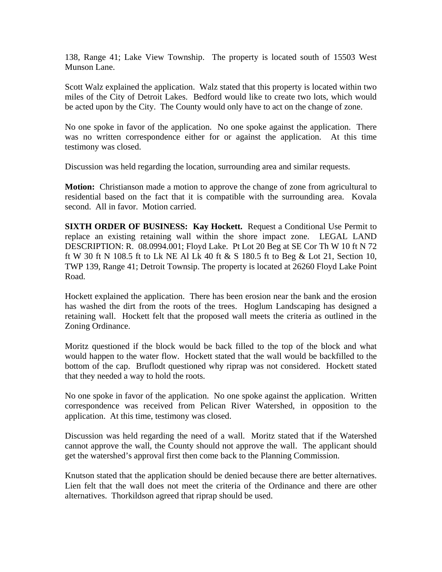138, Range 41; Lake View Township. The property is located south of 15503 West Munson Lane.

Scott Walz explained the application. Walz stated that this property is located within two miles of the City of Detroit Lakes. Bedford would like to create two lots, which would be acted upon by the City. The County would only have to act on the change of zone.

No one spoke in favor of the application. No one spoke against the application. There was no written correspondence either for or against the application. At this time testimony was closed.

Discussion was held regarding the location, surrounding area and similar requests.

**Motion:** Christianson made a motion to approve the change of zone from agricultural to residential based on the fact that it is compatible with the surrounding area. Kovala second. All in favor. Motion carried.

**SIXTH ORDER OF BUSINESS: Kay Hockett.** Request a Conditional Use Permit to replace an existing retaining wall within the shore impact zone. LEGAL LAND DESCRIPTION: R. 08.0994.001; Floyd Lake. Pt Lot 20 Beg at SE Cor Th W 10 ft N 72 ft W 30 ft N 108.5 ft to Lk NE Al Lk 40 ft & S 180.5 ft to Beg & Lot 21, Section 10, TWP 139, Range 41; Detroit Townsip. The property is located at 26260 Floyd Lake Point Road.

Hockett explained the application. There has been erosion near the bank and the erosion has washed the dirt from the roots of the trees. Hoglum Landscaping has designed a retaining wall. Hockett felt that the proposed wall meets the criteria as outlined in the Zoning Ordinance.

Moritz questioned if the block would be back filled to the top of the block and what would happen to the water flow. Hockett stated that the wall would be backfilled to the bottom of the cap. Bruflodt questioned why riprap was not considered. Hockett stated that they needed a way to hold the roots.

No one spoke in favor of the application. No one spoke against the application. Written correspondence was received from Pelican River Watershed, in opposition to the application. At this time, testimony was closed.

Discussion was held regarding the need of a wall. Moritz stated that if the Watershed cannot approve the wall, the County should not approve the wall. The applicant should get the watershed's approval first then come back to the Planning Commission.

Knutson stated that the application should be denied because there are better alternatives. Lien felt that the wall does not meet the criteria of the Ordinance and there are other alternatives. Thorkildson agreed that riprap should be used.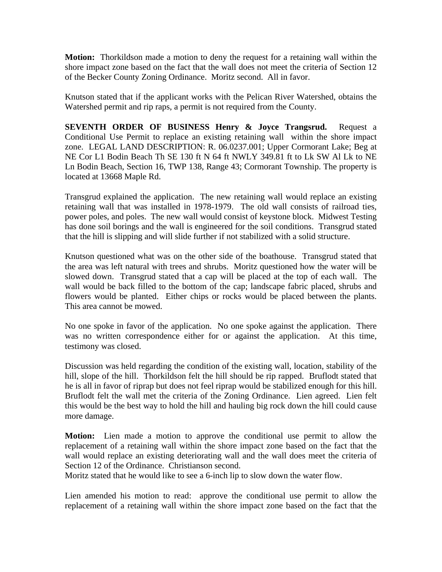**Motion:** Thorkildson made a motion to deny the request for a retaining wall within the shore impact zone based on the fact that the wall does not meet the criteria of Section 12 of the Becker County Zoning Ordinance. Moritz second. All in favor.

Knutson stated that if the applicant works with the Pelican River Watershed, obtains the Watershed permit and rip raps, a permit is not required from the County.

**SEVENTH ORDER OF BUSINESS Henry & Joyce Trangsrud.** Request a Conditional Use Permit to replace an existing retaining wall within the shore impact zone. LEGAL LAND DESCRIPTION: R. 06.0237.001; Upper Cormorant Lake; Beg at NE Cor L1 Bodin Beach Th SE 130 ft N 64 ft NWLY 349.81 ft to Lk SW Al Lk to NE Ln Bodin Beach, Section 16, TWP 138, Range 43; Cormorant Township. The property is located at 13668 Maple Rd.

Transgrud explained the application. The new retaining wall would replace an existing retaining wall that was installed in 1978-1979. The old wall consists of railroad ties, power poles, and poles. The new wall would consist of keystone block. Midwest Testing has done soil borings and the wall is engineered for the soil conditions. Transgrud stated that the hill is slipping and will slide further if not stabilized with a solid structure.

Knutson questioned what was on the other side of the boathouse. Transgrud stated that the area was left natural with trees and shrubs. Moritz questioned how the water will be slowed down. Transgrud stated that a cap will be placed at the top of each wall. The wall would be back filled to the bottom of the cap; landscape fabric placed, shrubs and flowers would be planted. Either chips or rocks would be placed between the plants. This area cannot be mowed.

No one spoke in favor of the application. No one spoke against the application. There was no written correspondence either for or against the application. At this time, testimony was closed.

Discussion was held regarding the condition of the existing wall, location, stability of the hill, slope of the hill. Thorkildson felt the hill should be rip rapped. Bruflodt stated that he is all in favor of riprap but does not feel riprap would be stabilized enough for this hill. Bruflodt felt the wall met the criteria of the Zoning Ordinance. Lien agreed. Lien felt this would be the best way to hold the hill and hauling big rock down the hill could cause more damage.

**Motion:** Lien made a motion to approve the conditional use permit to allow the replacement of a retaining wall within the shore impact zone based on the fact that the wall would replace an existing deteriorating wall and the wall does meet the criteria of Section 12 of the Ordinance. Christianson second.

Moritz stated that he would like to see a 6-inch lip to slow down the water flow.

Lien amended his motion to read: approve the conditional use permit to allow the replacement of a retaining wall within the shore impact zone based on the fact that the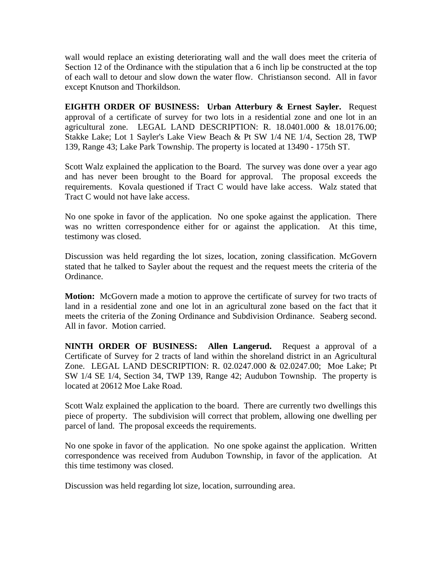wall would replace an existing deteriorating wall and the wall does meet the criteria of Section 12 of the Ordinance with the stipulation that a 6 inch lip be constructed at the top of each wall to detour and slow down the water flow. Christianson second. All in favor except Knutson and Thorkildson.

**EIGHTH ORDER OF BUSINESS: Urban Atterbury & Ernest Sayler.** Request approval of a certificate of survey for two lots in a residential zone and one lot in an agricultural zone. LEGAL LAND DESCRIPTION: R. 18.0401.000 & 18.0176.00; Stakke Lake; Lot 1 Sayler's Lake View Beach & Pt SW 1/4 NE 1/4, Section 28, TWP 139, Range 43; Lake Park Township. The property is located at 13490 - 175th ST.

Scott Walz explained the application to the Board. The survey was done over a year ago and has never been brought to the Board for approval. The proposal exceeds the requirements. Kovala questioned if Tract C would have lake access. Walz stated that Tract C would not have lake access.

No one spoke in favor of the application. No one spoke against the application. There was no written correspondence either for or against the application. At this time, testimony was closed.

Discussion was held regarding the lot sizes, location, zoning classification. McGovern stated that he talked to Sayler about the request and the request meets the criteria of the Ordinance.

**Motion:** McGovern made a motion to approve the certificate of survey for two tracts of land in a residential zone and one lot in an agricultural zone based on the fact that it meets the criteria of the Zoning Ordinance and Subdivision Ordinance. Seaberg second. All in favor. Motion carried.

**NINTH ORDER OF BUSINESS: Allen Langerud.** Request a approval of a Certificate of Survey for 2 tracts of land within the shoreland district in an Agricultural Zone. LEGAL LAND DESCRIPTION: R. 02.0247.000 & 02.0247.00; Moe Lake; Pt SW 1/4 SE 1/4, Section 34, TWP 139, Range 42; Audubon Township. The property is located at 20612 Moe Lake Road.

Scott Walz explained the application to the board. There are currently two dwellings this piece of property. The subdivision will correct that problem, allowing one dwelling per parcel of land. The proposal exceeds the requirements.

No one spoke in favor of the application. No one spoke against the application. Written correspondence was received from Audubon Township, in favor of the application. At this time testimony was closed.

Discussion was held regarding lot size, location, surrounding area.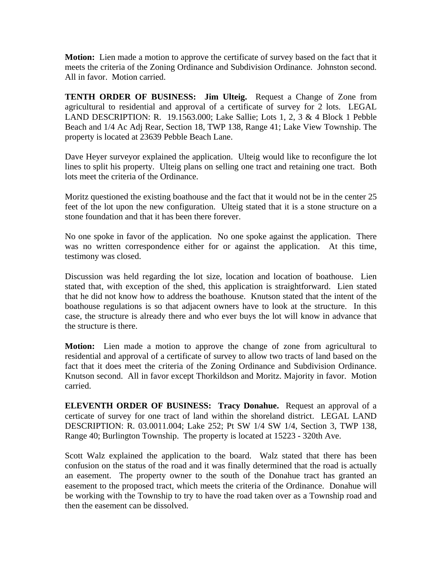**Motion:** Lien made a motion to approve the certificate of survey based on the fact that it meets the criteria of the Zoning Ordinance and Subdivision Ordinance. Johnston second. All in favor. Motion carried.

**TENTH ORDER OF BUSINESS: Jim Ulteig.** Request a Change of Zone from agricultural to residential and approval of a certificate of survey for 2 lots. LEGAL LAND DESCRIPTION: R. 19.1563.000; Lake Sallie; Lots 1, 2, 3 & 4 Block 1 Pebble Beach and 1/4 Ac Adj Rear, Section 18, TWP 138, Range 41; Lake View Township. The property is located at 23639 Pebble Beach Lane.

Dave Heyer surveyor explained the application. Ulteig would like to reconfigure the lot lines to split his property. Ulteig plans on selling one tract and retaining one tract. Both lots meet the criteria of the Ordinance.

Moritz questioned the existing boathouse and the fact that it would not be in the center 25 feet of the lot upon the new configuration. Ulteig stated that it is a stone structure on a stone foundation and that it has been there forever.

No one spoke in favor of the application. No one spoke against the application. There was no written correspondence either for or against the application. At this time, testimony was closed.

Discussion was held regarding the lot size, location and location of boathouse. Lien stated that, with exception of the shed, this application is straightforward. Lien stated that he did not know how to address the boathouse. Knutson stated that the intent of the boathouse regulations is so that adjacent owners have to look at the structure. In this case, the structure is already there and who ever buys the lot will know in advance that the structure is there.

**Motion:** Lien made a motion to approve the change of zone from agricultural to residential and approval of a certificate of survey to allow two tracts of land based on the fact that it does meet the criteria of the Zoning Ordinance and Subdivision Ordinance. Knutson second. All in favor except Thorkildson and Moritz. Majority in favor. Motion carried.

**ELEVENTH ORDER OF BUSINESS: Tracy Donahue.** Request an approval of a certicate of survey for one tract of land within the shoreland district. LEGAL LAND DESCRIPTION: R. 03.0011.004; Lake 252; Pt SW 1/4 SW 1/4, Section 3, TWP 138, Range 40; Burlington Township. The property is located at 15223 - 320th Ave.

Scott Walz explained the application to the board. Walz stated that there has been confusion on the status of the road and it was finally determined that the road is actually an easement. The property owner to the south of the Donahue tract has granted an easement to the proposed tract, which meets the criteria of the Ordinance. Donahue will be working with the Township to try to have the road taken over as a Township road and then the easement can be dissolved.